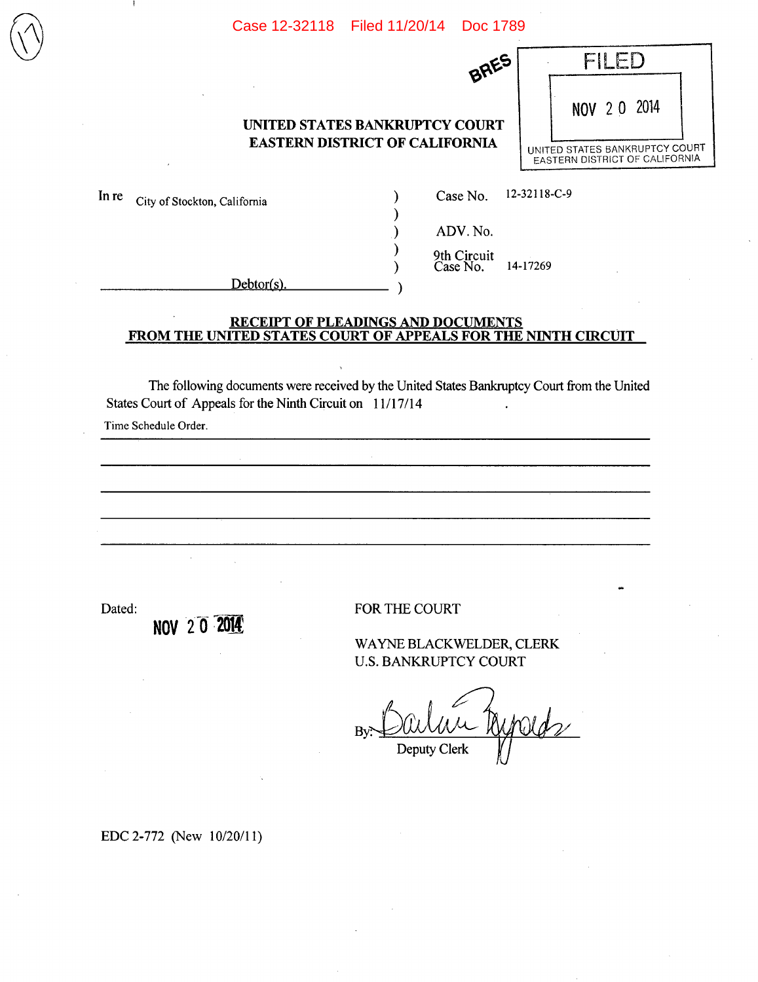#### **UNITED STATES BANKRUPTCY COURT EASTERN DISTRICT OF CALIFORNIA**

)

ſ

In re City of Stockton, California (a) Case No. 12-32118-C-9

 $\left(\bigvee\right)$ 

**BRES** 

) ADV.No.

9th Circuit ) CaseNo. 14-17269

 $Debtor(s)$ .

#### **RECEIPT OF PLEADINGS AND DOCUMENTS FROM THE UNITED STATES COURT OF APPEALS FOR THE NINTH CIRCUIT**

The following documents were received by the United States Bankruptcy Court from the United States Court of Appeals for the Ninth Circuit on 11/17/14

Time Schedule Order.

Dated: FOR THE COURT

WAYNE BLACK WELDER, CLERK U.S. BANKRUPTCY COURT

By Darlin Winds Clerk

EDC 2-772 (New 10/20/11)

**NOV •2 2O14** 

• FILED NOV20 2014 UNITED STATES BANKRUPTCY COURT EASTERN DISTRICT OF CALIFORNIA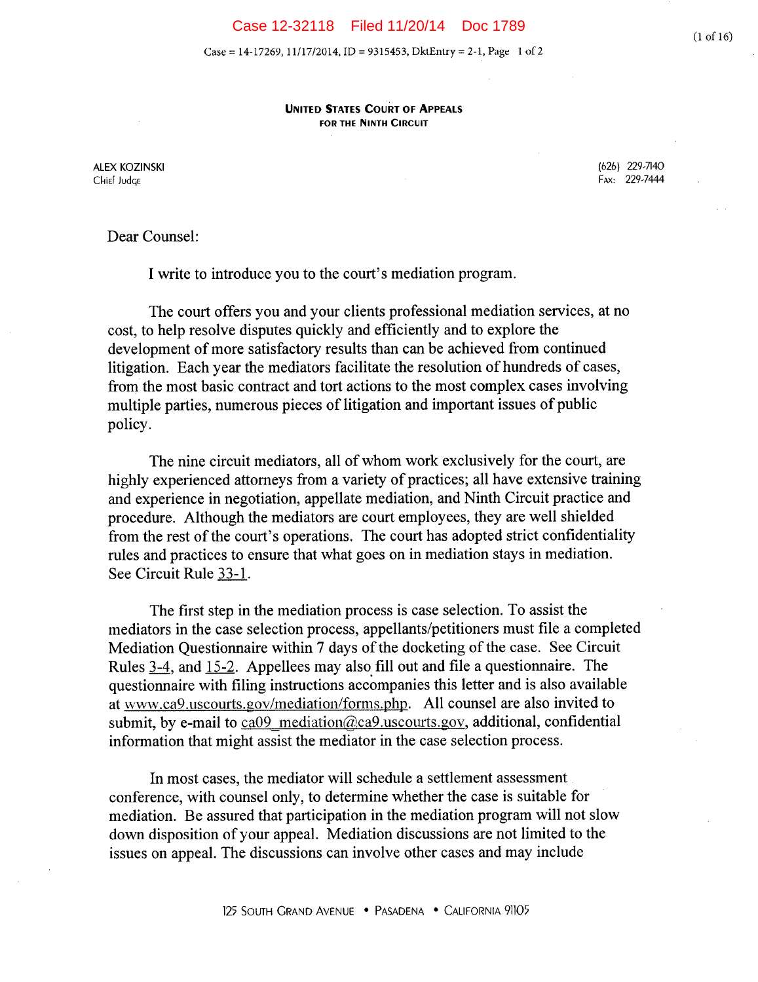Case = 14-17269, 11/17/2014, ID = 9315453, DktEntry = 2-1, Page 1 of 2

**UNITED STATES COURT OF APPEALS FOR THE NINTH CIRCUIT** 

Chief Judge **Fax:** 229-7444

ALEX KOZINSKI (626) 229-7140

Dear Counsel:

I write to introduce you to the court's mediation program.

The court offers you and your clients professional mediation services, at no cost, to help resolve disputes quickly and efficiently and to explore the development of more satisfactory results than can be achieved from continued litigation. Each year the mediators facilitate the resolution of hundreds of cases, from the most basic contract and tort actions to the most complex cases involving multiple parties, numerous pieces of litigation and important issues of public policy.

The nine circuit mediators, all of whom work exclusively for the court, are highly experienced attorneys from a variety of practices; all have extensive training and experience in negotiation, appellate mediation, and Ninth Circuit practice and procedure. Although the mediators are court employees, they are well shielded from the rest of the court's operations. The court has adopted strict confidentiality rules and practices to ensure that what goes on in mediation stays in mediation. See Circuit Rule 33-1.

The first step in the mediation process is case selection. To assist the mediators in the case selection process, appellants/petitioners must file a completed Mediation Questionnaire within 7 days of the docketing of the case. See Circuit Rules 3-4, and 15-2. Appellees may also fill out and file a questionnaire. The questionnaire with filing instructions accompanies this letter and is also available at www.ca9.uscourts.gov/mediation/forms.php. All counsel are also invited to submit, by e-mail to  $ca09$  mediation@ca9.uscourts.gov, additional, confidential information that might assist the mediator in the case selection process.

In most cases, the mediator will schedule a settlement assessment conference, with counsel only, to determine whether the case is suitable for mediation. Be assured that participation in the mediation program will not slow down disposition of your appeal. Mediation discussions are not limited to the issues on appeal. The discussions can involve other cases and may include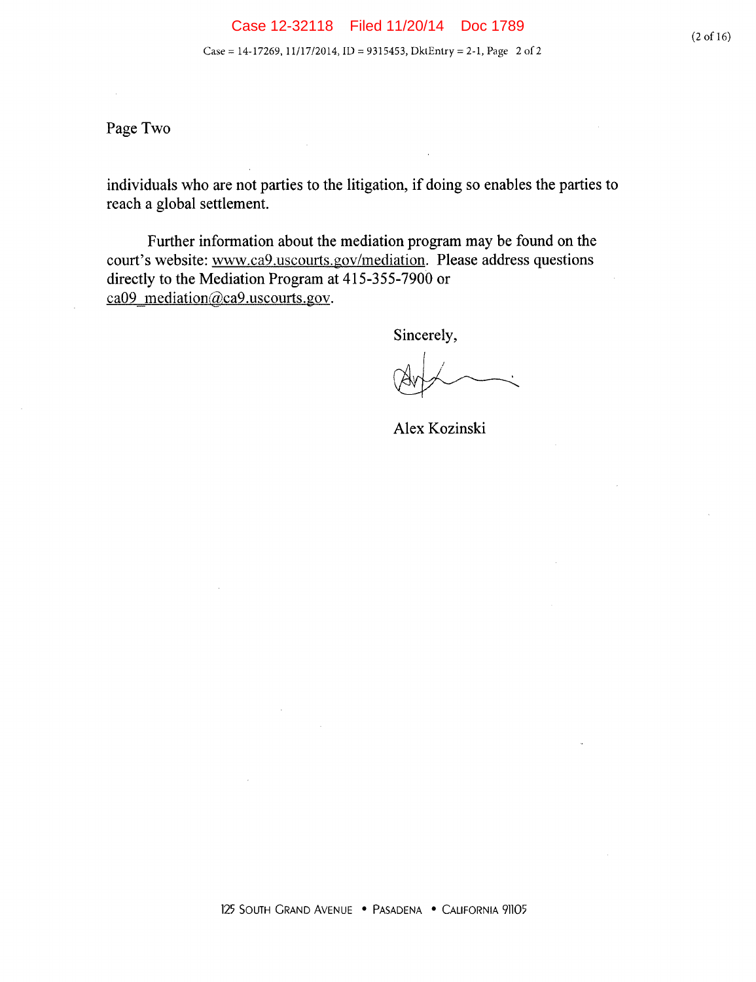Page Two

individuals who are not parties to the litigation, if doing so enables the parties to reach a global settlement.

Further information about the mediation program may be found on the court's website: www.ca9.uscourts.gov/mediation. Please address questions directly to the Mediation Program at 415-355-7900 or ca09\_mediation@ca9.uscourts.gov.

Sincerely,

Alex Kozinski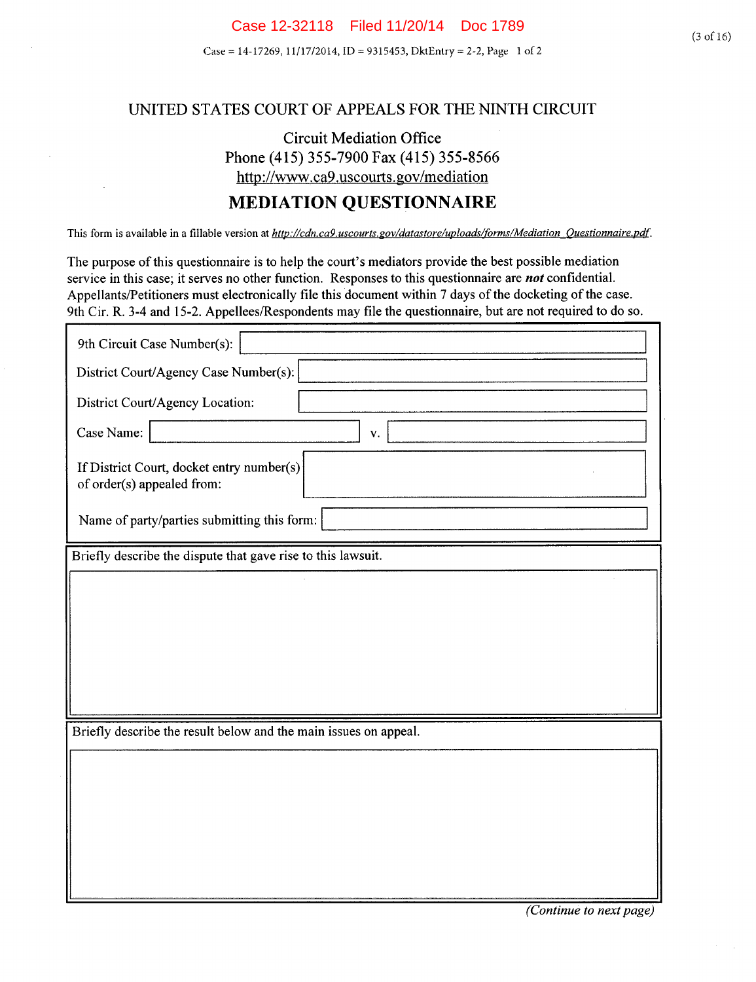Case = 14-17269, 11/17/2014, ID = 9315453, DktEntry = 2-2, Page 1 of 2

#### UNITED STATES COURT OF APPEALS FOR THE NINTH CIRCUIT

# Circuit Mediation Office Phone (415) *355-7900* Fax *(415) 355-8566*  http://www.ca9.uscourts.gov/mediation

# **MEDIATION QUESTIONNAIRE**

This form is available in a fillable version at *http://cdn.ca9.uscourts.gov/datastore/uploads/forms/Mediation\_Questionnaire.pdf.* 

The purpose of this questionnaire is to help the court's mediators provide the best possible mediation service in this case; it serves no other function. Responses to this questionnaire are *not* confidential. Appellants/Petitioners must electronically file this document within 7 days of the docketing of the case. 9th Cir. R. 3-4 and 15-2. Appellees/Respondents may file the questionnaire, but are not required to do so.

| 9th Circuit Case Number(s):                                             |  |  |
|-------------------------------------------------------------------------|--|--|
| District Court/Agency Case Number(s):                                   |  |  |
| District Court/Agency Location:                                         |  |  |
| Case Name:<br>$\mathbf{V}.$                                             |  |  |
| If District Court, docket entry number(s)<br>of order(s) appealed from: |  |  |
| Name of party/parties submitting this form:                             |  |  |
| Briefly describe the dispute that gave rise to this lawsuit.            |  |  |
|                                                                         |  |  |
|                                                                         |  |  |
|                                                                         |  |  |
|                                                                         |  |  |
|                                                                         |  |  |
| Briefly describe the result below and the main issues on appeal.        |  |  |
|                                                                         |  |  |
|                                                                         |  |  |
|                                                                         |  |  |
|                                                                         |  |  |
|                                                                         |  |  |
|                                                                         |  |  |

*(Continue to next page)*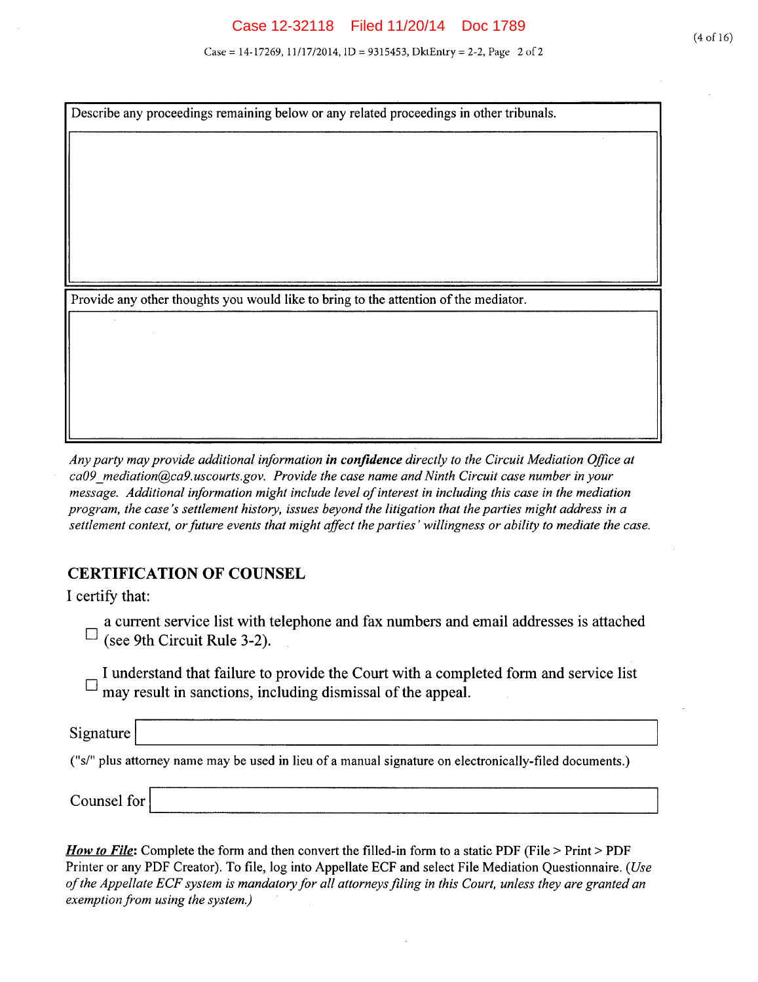Case = 14-17269, 11/17/2014, ID = 9315453, DktEntry = 2-2, Page 2 of 2

Describe any proceedings remaining below or any related proceedings in other tribunals.

Provide any other thoughts you would like to bring to the attention of the mediator.

*Any party may provide additional information in confidence directly to the Circuit Mediation Office at ca09\_mediationca9.uscourts.gov. Provide the case name and Ninth Circuit case number in your message. Additional information might include level of interest in including this case in the mediation program, the case 's settlement history, issues beyond the litigation that the parties might address in a settlement context, or future events that might affect the parties' willingness or ability to mediate the case.* 

### **CERTIFICATION OF COUNSEL**

I certify that:

a current service list with telephone and fax numbers and email addresses is attached  $\Box$  (see 9th Circuit Rule 3-2).

I understand that failure to provide the Court with a completed form and service list  $\Box$  may result in sanctions, including dismissal of the appeal.

Signature ("si' plus attorney name may be used in lieu of a manual signature on electronically-filed documents.)

Counsel for

*How to File:* Complete the form and then convert the filled-in form to a static PDF (File > Print > PDF Printer or any PDF Creator). To file, log into Appellate ECF and select File Mediation Questionnaire. *(Use of the Appellate ECF system is mandatory for all attorneys fIling in this Court, unless they are granted an exemption from using the system)*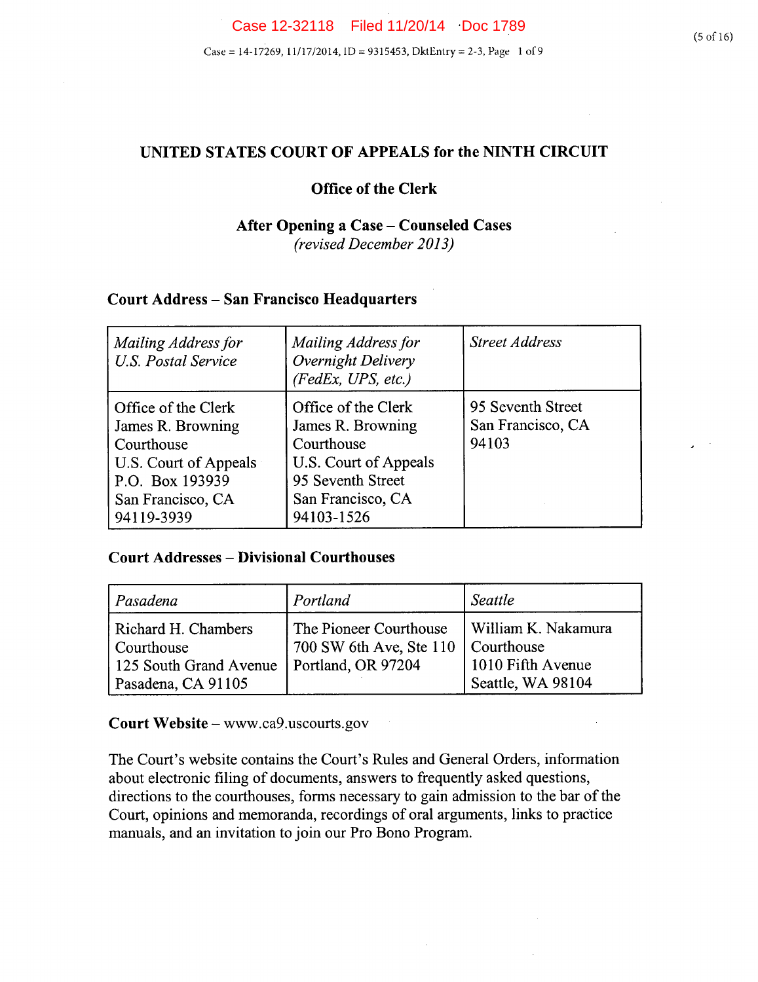# **UNITED STATES COURT OF APPEALS for the NINTH CIRCUIT**

# **Office of the Clerk**

## **After Opening a Case - Counseled Cases**  *(revised December 2013)*

# **Court Address - San Francisco Headquarters**

| Mailing Address for<br><b>U.S. Postal Service</b>                                                                                     | Mailing Address for<br>Overnight Delivery<br>(FedEx, UPS, etc.)                                                                         | <b>Street Address</b>                           |
|---------------------------------------------------------------------------------------------------------------------------------------|-----------------------------------------------------------------------------------------------------------------------------------------|-------------------------------------------------|
| Office of the Clerk<br>James R. Browning<br>Courthouse<br>U.S. Court of Appeals<br>P.O. Box 193939<br>San Francisco, CA<br>94119-3939 | Office of the Clerk<br>James R. Browning<br>Courthouse<br>U.S. Court of Appeals<br>95 Seventh Street<br>San Francisco, CA<br>94103-1526 | 95 Seventh Street<br>San Francisco, CA<br>94103 |

### **Court Addresses** - **Divisional Courthouses**

| Pasadena                                                                          | Portland                                                                             | Seattle                                                       |
|-----------------------------------------------------------------------------------|--------------------------------------------------------------------------------------|---------------------------------------------------------------|
| Richard H. Chambers<br>Courthouse<br>125 South Grand Avenue<br>Pasadena, CA 91105 | The Pioneer Courthouse<br>700 SW 6th Ave, Ste 110   Courthouse<br>Portland, OR 97204 | William K. Nakamura<br>1010 Fifth Avenue<br>Seattle, WA 98104 |

**Court Website** - www.ca9.uscourts.gov

The Court's website contains the Court's Rules and General Orders, information about electronic filing of documents, answers to frequently asked questions, directions to the courthouses, forms necessary to gain admission to the bar of the Court, opinions and memoranda, recordings of oral arguments, links to practice manuals, and an invitation to join our Pro Bono Program.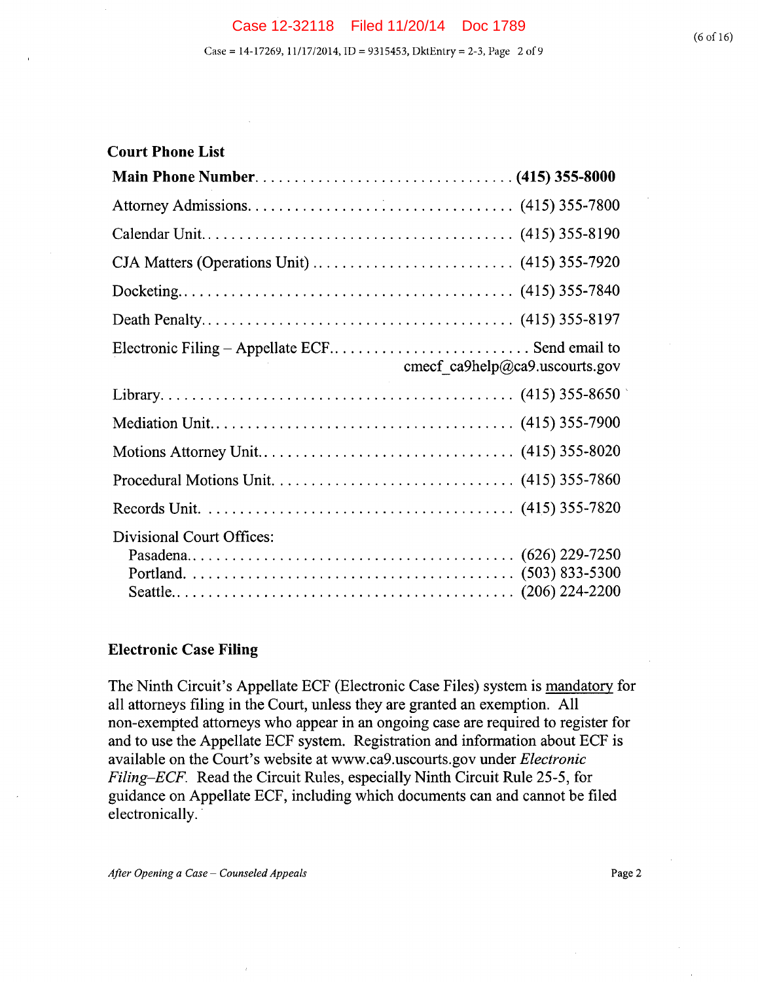| <b>Court Phone List</b>                                                                  |
|------------------------------------------------------------------------------------------|
|                                                                                          |
|                                                                                          |
|                                                                                          |
| CJA Matters (Operations Unit) $\dots \dots \dots \dots \dots \dots \dots$ (415) 355-7920 |
|                                                                                          |
|                                                                                          |
| cmecf ca9help@ca9.uscourts.gov                                                           |
|                                                                                          |
|                                                                                          |
|                                                                                          |
|                                                                                          |
|                                                                                          |
| <b>Divisional Court Offices:</b>                                                         |

### **Electronic Case Filing**

The Ninth Circuit's Appellate ECF (Electronic Case Files) system is mandatory for all attorneys filing in the Court, unless they are granted an exemption. All non-exempted attorneys who appear in an ongoing case are required to register for and to use the Appellate ECF system. Registration and information about ECF is available on the Court's website at www.ca9.uscourts.gov under *Electronic Filing—ECF.* Read the Circuit Rules, especially Ninth Circuit Rule *25-5,* for guidance on Appellate ECF, including which documents can and cannot be filed electronically.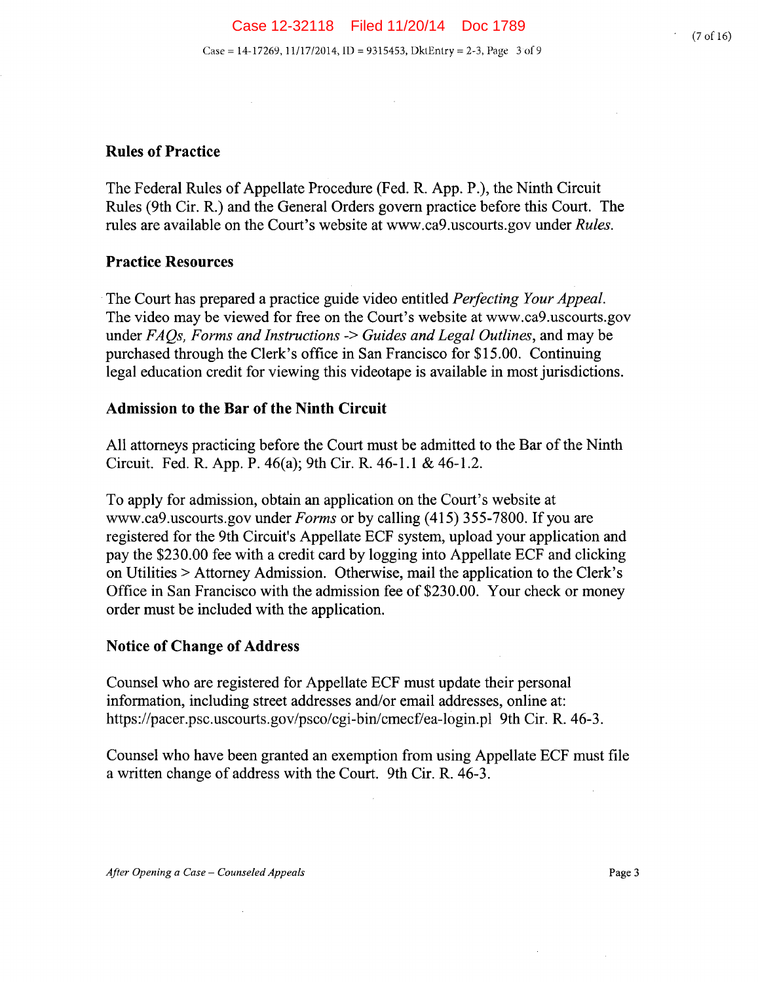(7 of 16)

# **Rules of Practice**

The Federal Rules of Appellate Procedure (Fed. R. App. P.), the Ninth Circuit Rules (9th Cir. R.) and the General Orders govern practice before this Court. The rules are available on the Court's website at www.ca9.uscourts.gov under *Rules.* 

# **Practice Resources**

The Court has prepared a practice guide video entitled *Perfecting Your Appeal.*  The video may be viewed for free on the Court's website at www.ca9.uscourts.gov *under FAQs, Forms and Instructions -> Guides and Legal Outlines,* and may be purchased through the Clerk's office in San Francisco for \$15.00. Continuing legal education credit for viewing this videotape is available in most jurisdictions.

# **Admission to the Bar of the Ninth Circuit**

 $\sim 10^{-11}$ 

All attorneys practicing before the Court must be admitted to the Bar of the Ninth Circuit. Fed. R. App. P. 46(a); 9th Cir. R. 46-1.1 & 46-1.2.

To apply for admission, obtain an application on the Court's website at www.ca9.uscourts.gov under *Forms* or by calling (415) *355-7800.* If you are registered for the 9th Circuit's Appellate ECF system, upload your application and pay the \$230.00 fee with a credit card by logging into Appellate ECF and clicking on Utilities > Attorney Admission. Otherwise, mail the application to the Clerk's Office in San Francisco with the admission fee of \$230.00. Your check or money order must be included with the application.

# **Notice of Change of Address**

Counsel who are registered for Appellate ECF must update their personal information, including street addresses and/or email addresses, online at: https://pacer.psc.uscourts.gov/psco/cgi-bin/cmecf/ea-login.pl 9th Cir. R. 46-3.

Counsel who have been granted an exemption from using Appellate ECF must file a written change of address with the Court. 9th Cir. R. 46-3.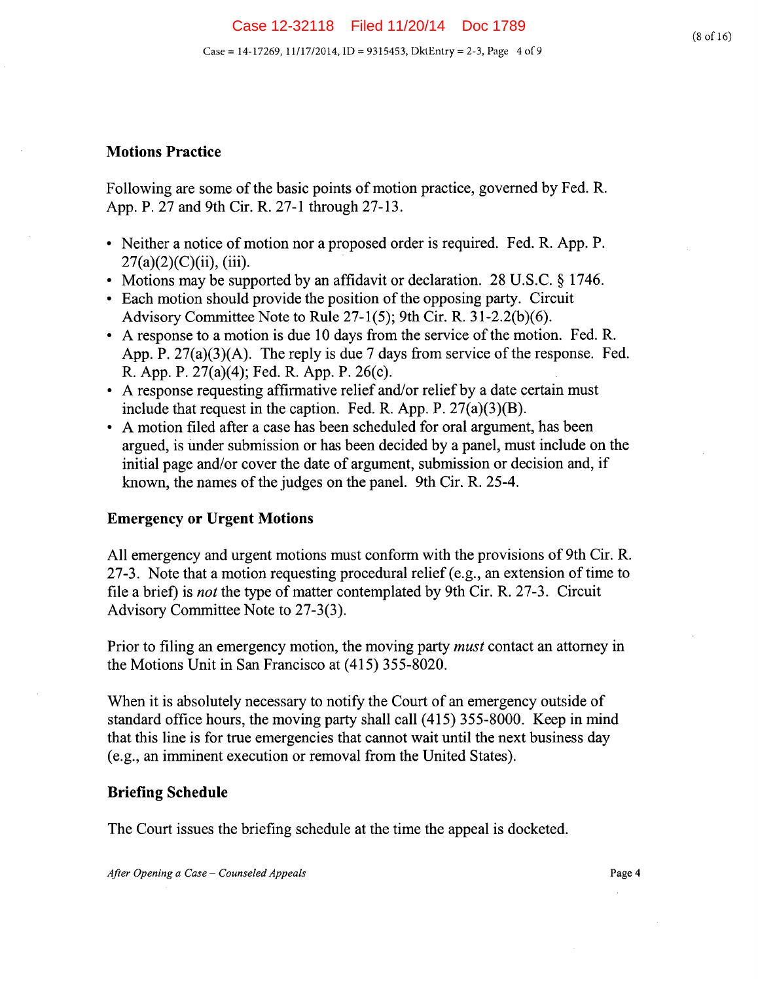### **Motions Practice**

Following are some of the basic points of motion practice, governed by Fed. R. App. P. 27 and 9th Cir. R. 27-1 through 27-13.

- Neither a notice of motion nor a proposed order is required. Fed. R. App. P.  $27(a)(2)(C)(ii)$ , (iii).
- Motions may be supported by an affidavit or declaration. 28 U.S.C. § 1746.
- Each motion should provide the position of the opposing party. Circuit Advisory Committee Note to Rule *27-1(5);* 9th cir. R. 3 1-2.2(b)(6).
- A response to a motion is due 10 days from the service of the motion. Fed. R. App. P. 27(a)(3)(A). The reply is due 7 days from service of the response. Fed. R. App. P. 27(a)(4); Fed. R. App. P. 26(c).
- A response requesting affirmative relief and/or relief by a date certain must include that request in the caption. Fed. R. App. P.  $27(a)(3)(B)$ .
- A motion filed after a case has been scheduled for oral argument, has been argued, is under submission or has been decided by a panel, must include on the initial page and/or cover the date of argument, submission or decision and, if known, the names of the judges on the panel. 9th Cir. R. 25-4.

### **Emergency or Urgent Motions**

All emergency and urgent motions must conform with the provisions of 9th Cir. R. 27-3. Note that a motion requesting procedural relief (e.g., an extension of time to file a brief) is *not* the type of matter contemplated by 9th Cir. R. 27-3. Circuit Advisory Committee Note to 27-3(3).

Prior to filing an emergency motion, the moving party *must* contact an attorney in the Motions Unit in San Francisco at *(415) 355-8020.* 

When it is absolutely necessary to notify the Court of an emergency outside of standard office hours, the moving party shall call *(415) 355-8000.* Keep in mind that this line is for true emergencies that cannot wait until the next business day (e.g., an imminent execution or removal from the United States).

### **Briefing Schedule**

The Court issues the briefing schedule at the time the appeal is docketed.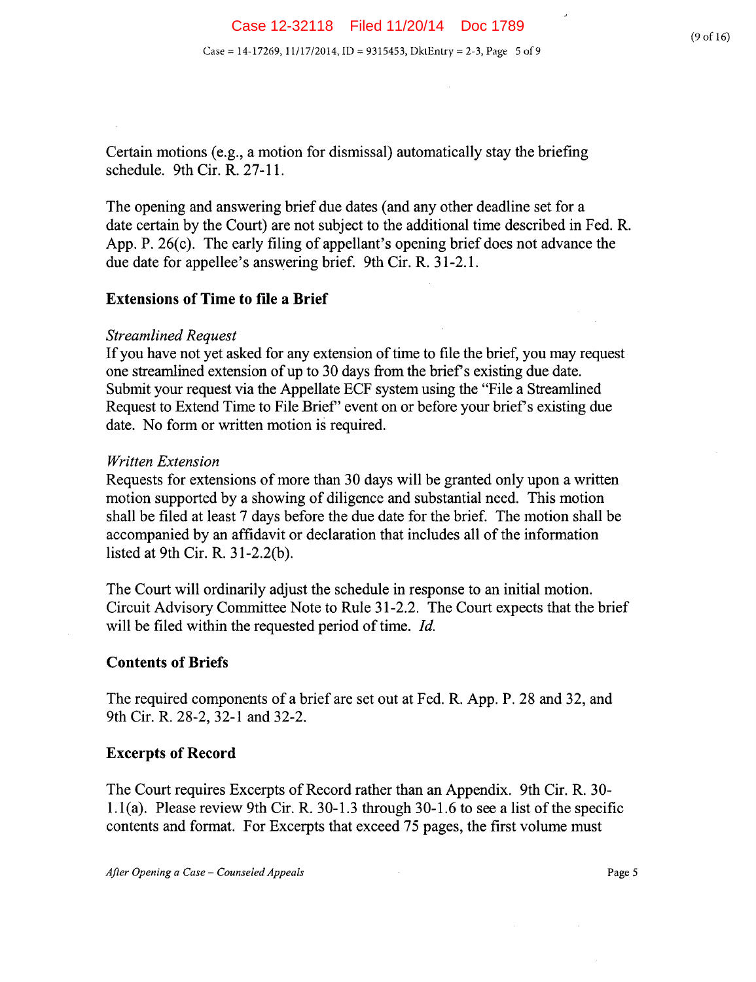Certain motions (e.g., a motion for dismissal) automatically stay the briefing schedule. 9th Cir. R. 27-11.

The opening and answering brief due dates (and any other deadline set for a date certain by the Court) are not subject to the additional time described in Fed. R. App. P. 26(c). The early filing of appellant's opening brief does not advance the due date for appellee's answering brief. 9th Cir. R. 31-2.1.

#### **Extensions of Time to file a Brief**

#### *Streamlined Request*

If you have not yet asked for any extension of time to file the brief, you may request one streamlined extension of up to 30 days from the brief's existing due date. Submit your request via the Appellate ECF system using the "File a Streamlined Request to Extend Time to File Brief' event on or before your brief's existing due date. No form or written motion is required.

#### *Written Extension*

Requests for extensions of more than 30 days will be granted only upon a written motion supported by a showing of diligence and substantial need. This motion shall be filed at least 7 days before the due date for the brief. The motion shall be accompanied by an affidavit or declaration that includes all of the information listed at 9th Cir. R. 3 1-2.2(b).

The Court will ordinarily adjust the schedule in response to an initial motion. Circuit Advisory Committee Note to Rule 3 1-2.2. The Court expects that the brief will be filed within the requested period of time. *Id.* 

#### **Contents of Briefs**

The required components of a brief are set out at Fed. R. App. P. 28 and 32, and 9th Cir. R. 28-2, 32-1 and 32-2.

#### **Excerpts of Record**

The Court requires Excerpts of Record rather than an Appendix. 9th Cir. R. 30- 1.1(a). Please review 9th Cir. R. 30-1.3 through 30-1.6 to see a list of the specific contents and format. For Excerpts that exceed 75 pages, the first volume must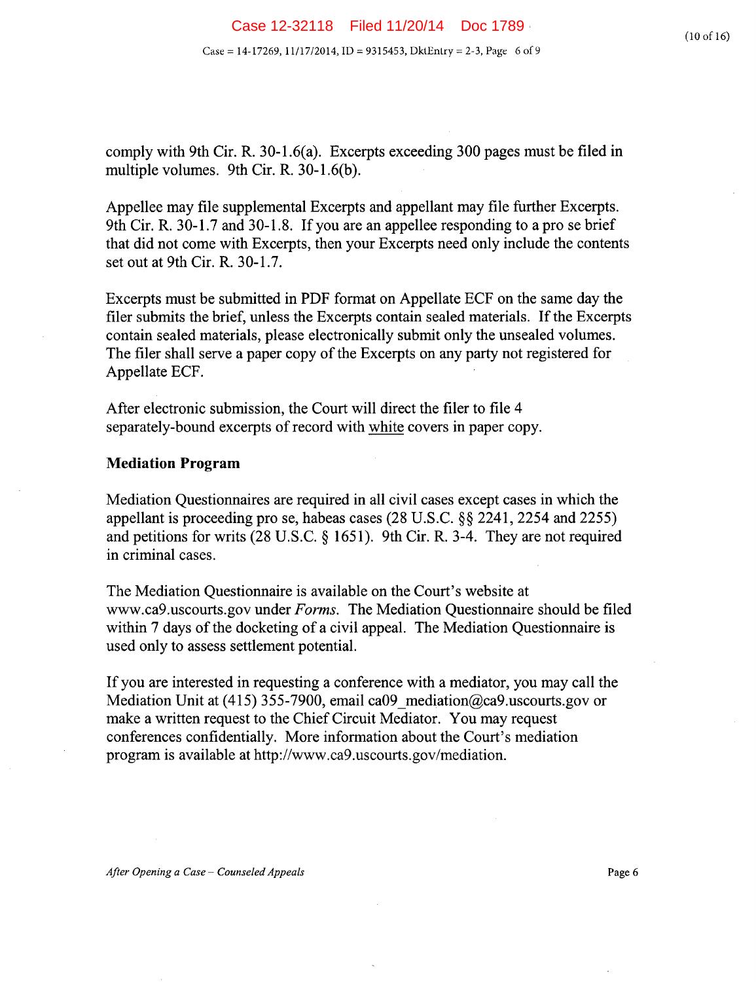comply with 9th Cir. R. 30-1.6(a). Excerpts exceeding 300 pages must be filed in multiple volumes. 9th Cir. R. 30-1.6(b).

Appellee may file supplemental Excerpts and appellant may file further Excerpts. 9th Cir. R. 30-1.7 and 30-1.8. If you are an appellee responding to apro se brief that did not come with Excerpts, then your Excerpts need only include the contents set out at 9th Cir. R. 30-1.7.

Excerpts must be submitted in PDF format on Appellate ECF on the same day the filer submits the brief, unless the Excerpts contain sealed materials. If the Excerpts contain sealed materials, please electronically submit only the unsealed volumes. The filer shall serve a paper copy of the Excerpts on any party not registered for Appellate ECF.

After electronic submission, the Court will direct the filer to file 4 separately-bound excerpts of record with white covers in paper copy.

#### **Mediation Program**

Mediation Questionnaires are required in all civil cases except cases in which the appellant is proceeding pro se, habeas cases (28 U.S.C. §§ 2241, 2254 and *2255)*  and petitions for writs (28 U.S.C. § 1651). 9th Cir. R. 3-4. They are not required in criminal cases.

The Mediation Questionnaire is available on the Court's website at www.ca9.uscourts.gov under *Forms.* The Mediation Questionnaire should be filed within 7 days of the docketing of a civil appeal. The Mediation Questionnaire is used only to assess settlement potential.

If you are interested in requesting a conference with a mediator, you may call the Mediation Unit at *(415)* 355-7900, email ca09\_mediation@ca9.uscourts.gov or make a written request to the Chief Circuit Mediator. You may request conferences confidentially. More information about the Court's mediation program is available at http://www.ca9.uscourts.gov/mediation.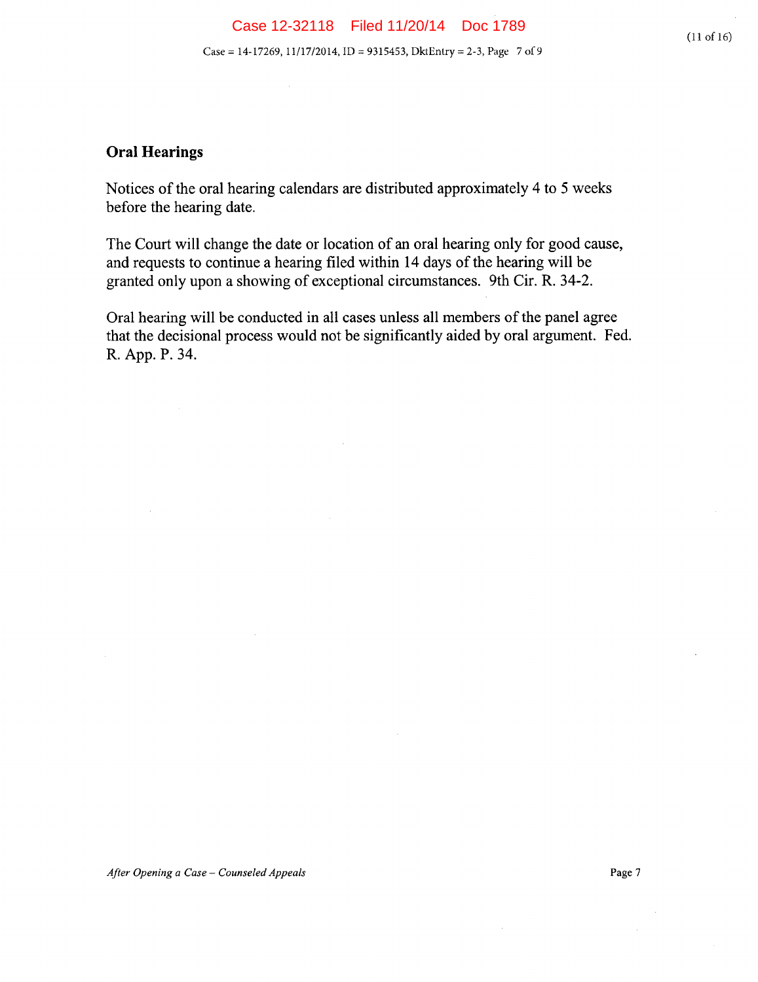# **Oral Hearings**

Notices of the oral hearing calendars are distributed approximately 4 to *5* weeks before the hearing date.

The Court will change the date or location of an oral hearing only for good cause, and requests to continue a hearing filed within 14 days of the hearing will be granted only upon a showing of exceptional circumstances. 9th Cir. R. 34-2.

Oral hearing will be conducted in all cases unless all members of the panel agree that the decisional process would not be significantly aided by oral argument. Fed. R. App. P. 34.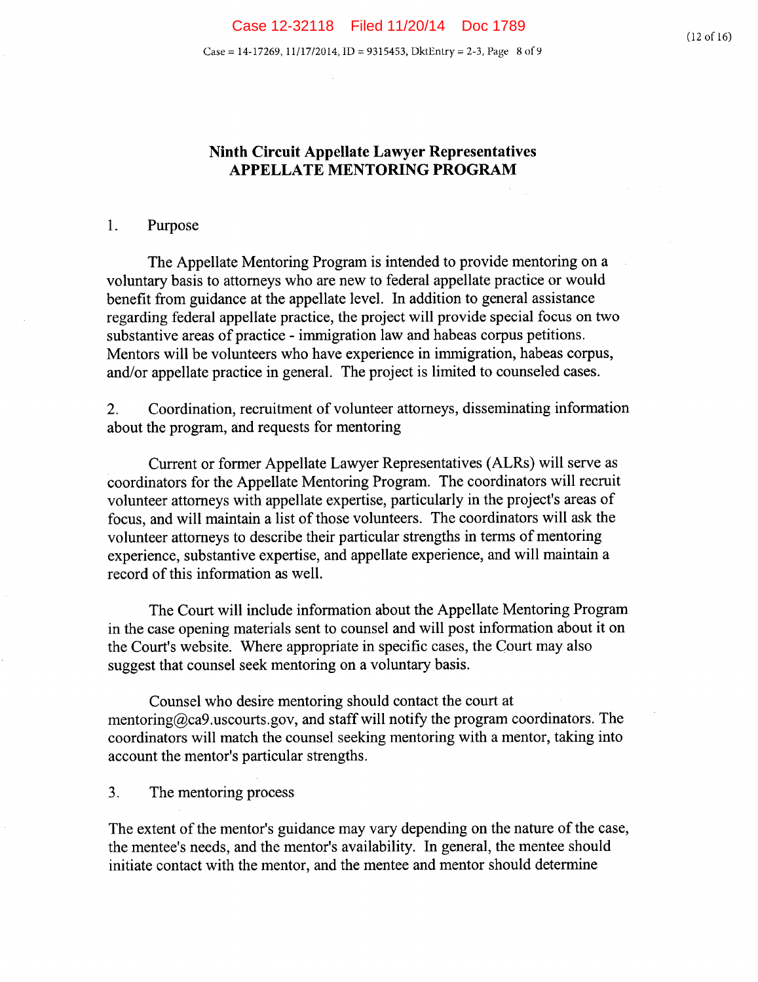### **Ninth Circuit Appellate Lawyer Representatives APPELLATE MENTORING PROGRAM**

#### 1. Purpose

The Appellate Mentoring Program is intended to provide mentoring on a voluntary basis to attorneys who are new to federal appellate practice or would benefit from guidance at the appellate level. In addition to general assistance regarding federal appellate practice, the project will provide special focus on two substantive areas of practice - immigration law and habeas corpus petitions. Mentors will be volunteers who have experience in immigration, habeas corpus, and/or appellate practice in general. The project is limited to counseled cases.

2. Coordination, recruitment of volunteer attorneys, disseminating information about the program, and requests for mentoring

Current or former Appellate Lawyer Representatives (ALRs) will serve as coordinators for the Appellate Mentoring Program. The coordinators will recruit volunteer attorneys with appellate expertise, particularly in the project's areas of focus, and will maintain a list of those volunteers. The coordinators will ask the volunteer attorneys to describe their particular strengths in terms of mentoring experience, substantive expertise, and appellate experience, and will maintain a record of this information as well.

The Court will include information about the Appellate Mentoring Program in the case opening materials sent to counsel and will post information about it on the Court's website. Where appropriate in specific cases, the Court may also suggest that counsel seek mentoring on a voluntary basis.

Counsel who desire mentoring should contact the court at mentoring  $Q_{\text{ca}}$ 9.uscourts.gov, and staff will notify the program coordinators. The coordinators will match the counsel seeking mentoring with a mentor, taking into account the mentor's particular strengths.

 $3<sub>1</sub>$ The mentoring process

The extent of the mentor's guidance may vary depending on the nature of the case, the mentee's needs, and the mentor's availability. In general, the mentee should initiate contact with the mentor, and the mentee and mentor should determine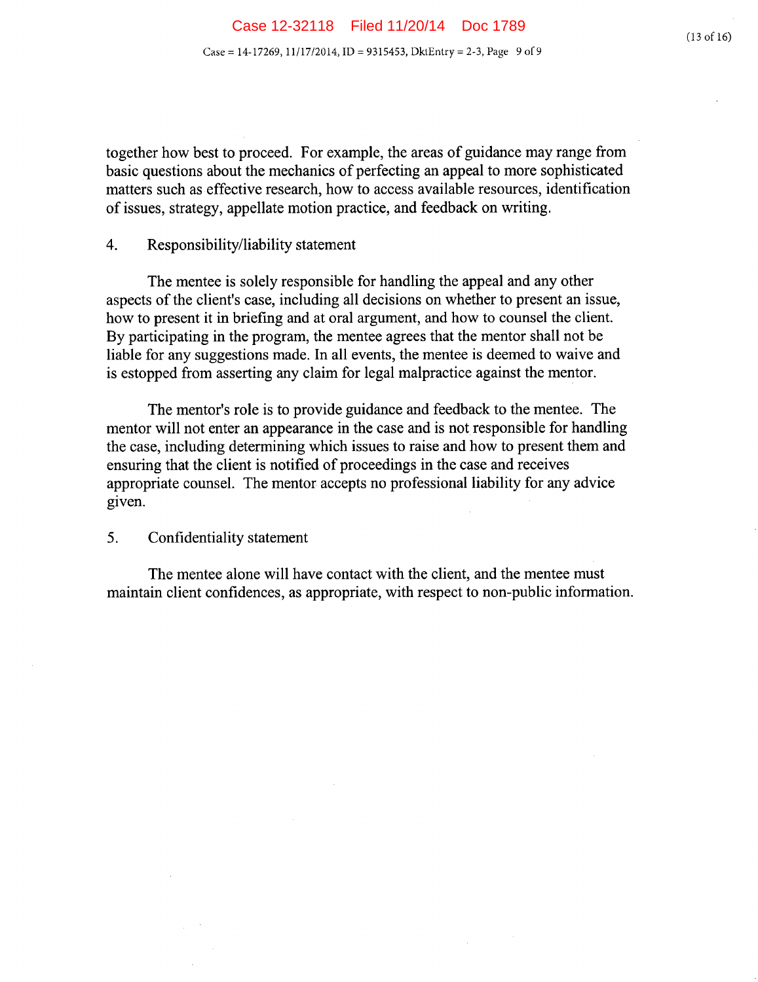together how best to proceed. For example, the areas of guidance may range from basic questions about the mechanics of perfecting an appeal to more sophisticated matters such as effective research, how to access available resources, identification of issues, strategy, appellate motion practice, and feedback on writing.

#### 4. Responsibility/liability statement

The mentee is solely responsible for handling the appeal and any other aspects of the client's case, including all decisions on whether to present an issue, how to present it in briefing and at oral argument, and how to counsel the client. By participating in the program, the mentee agrees that the mentor shall not be liable for any suggestions made. In all events, the mentee is deemed to waive and is estopped from asserting any claim for legal malpractice against the mentor.

The mentor's role is to provide guidance and feedback to the mentee. The mentor will not enter an appearance in the case and is not responsible for handling the case, including determining which issues to raise and how to present them and ensuring that the client is notified of proceedings in the case and receives appropriate counsel. The mentor accepts no professional liability for any advice given.

#### $5<sub>1</sub>$ Confidentiality statement

The mentee alone will have contact with the client, and the mentee must maintain client confidences, as appropriate, with respect to non-public information.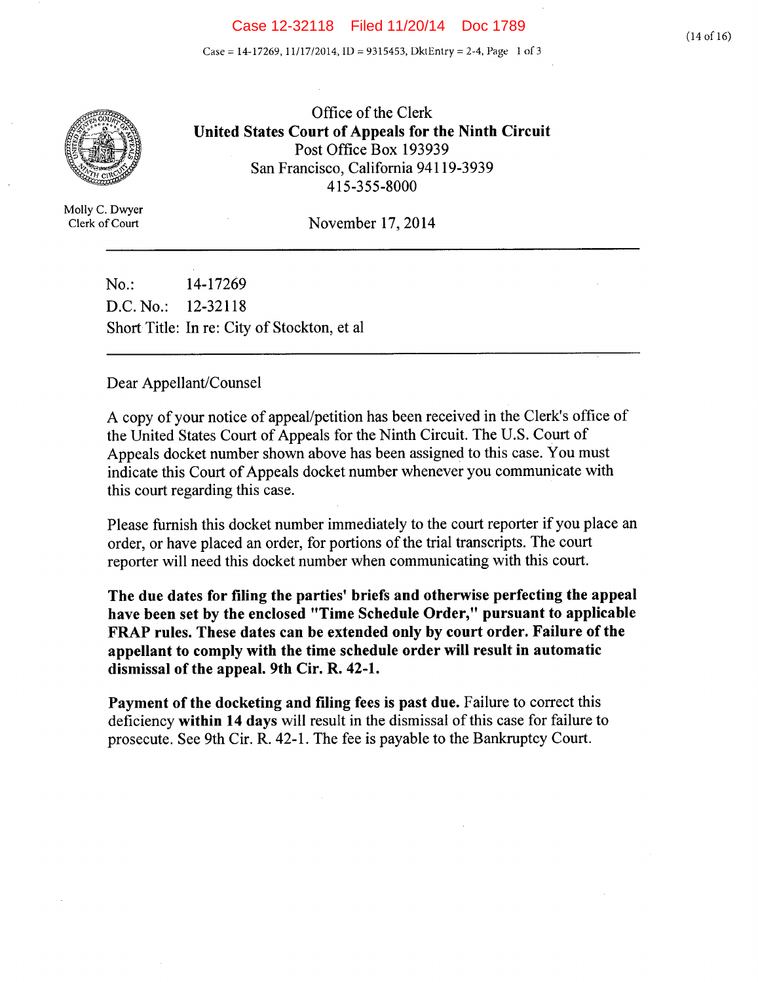#### Case 12-32118 Filed 11/20/14 Doc 1789

Case = 14-17269, 11/17/2014, ID = 9315453, DktEntry = 2-4, Page 1 of 3



Office of the Clerk United States Court of Appeals for the Ninth Circuit<br>
Post Office Box 193939<br>
San Francisco California 94119-3939 San Francisco, California 94119-3939 - 415-355-8000

Molly C. Dwyer

Clerk of Court November 17, 2014

No.: 14-17269 D.C.No.: 12-32118 Short Title: In re: City of Stockton, et al

#### Dear Appellant/Counsel

A copy of your notice of appeal/petition has been received in the Clerk's office of the United States Court of Appeals for the Ninth Circuit. The U.S. Court of Appeals docket number shown above has been assigned to this case. You must indicate this Court of Appeals docket number whenever you communicate with this court regarding this case.

Please furnish this docket number immediately to the court reporter if you place an order, or have placed an order, for portions of the trial transcripts. The court reporter will need this docket number when communicating with this court.

**The due dates for filing the parties' briefs and otherwise perfecting the appeal have been set by the enclosed "Time Schedule Order," pursuant to applicable FRAP rules. These dates can be extended only by court order. Failure of the appellant to comply with the time schedule order will result in automatic dismissal of the appeal. 9th Cir. R. 42-1.** 

**Payment of the docketing and filing fees is past due.** Failure to correct this deficiency **within 14 days** will result in the dismissal of this case for failure to prosecute. See 9th Cir. R. 42-1. The fee is payable to the Bankruptcy Court.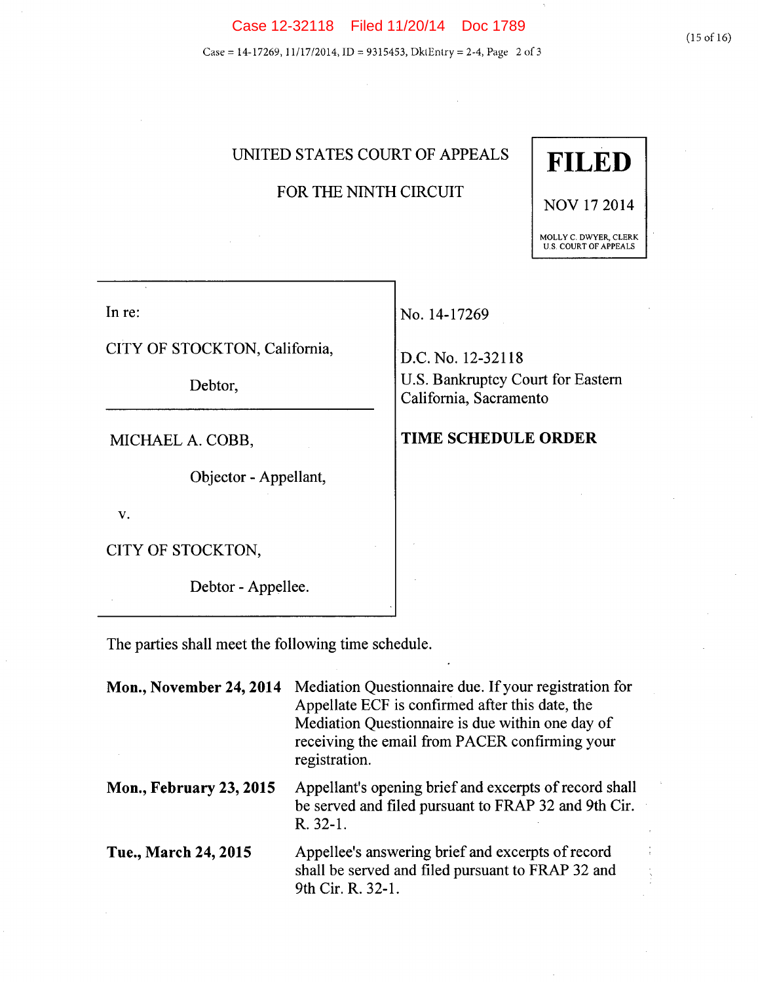Case = 14-17269, 11/17/2014, ID = 9315453, DklEntry = 2-4, Page 2 of *3* 

# UNITED STATES COURT OF APPEALS **FILED**

# FOR THE NINTH CIRCUIT

In re:

CITY OF STOCKTON, California,

Debtor,

MICHAEL A. COBB,

Objector - Appellant,

V.

CITY OF STOCKTON,

Debtor - Appellee.

No. 14-17269

D.C.No. 12-32118 U.S. Bankruptcy Court for Eastern California, Sacramento

#### **TIME SCHEDULE ORDER**

The parties shall meet the following time schedule.

| <b>Mon., November 24, 2014</b> | Mediation Questionnaire due. If your registration for<br>Appellate ECF is confirmed after this date, the<br>Mediation Questionnaire is due within one day of<br>receiving the email from PACER confirming your<br>registration. |
|--------------------------------|---------------------------------------------------------------------------------------------------------------------------------------------------------------------------------------------------------------------------------|
| <b>Mon., February 23, 2015</b> | Appellant's opening brief and excerpts of record shall<br>be served and filed pursuant to FRAP 32 and 9th Cir.<br>R. 32-1.                                                                                                      |
| Tue., March 24, 2015           | Appellee's answering brief and excerpts of record<br>shall be served and filed pursuant to FRAP 32 and<br>9th Cir. R. 32-1.                                                                                                     |